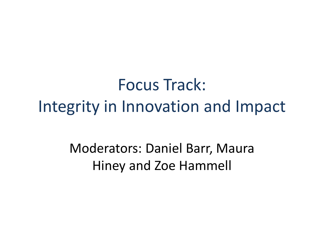Focus Track: Integrity in Innovation and Impact

> Moderators: Daniel Barr, Maura Hiney and Zoe Hammell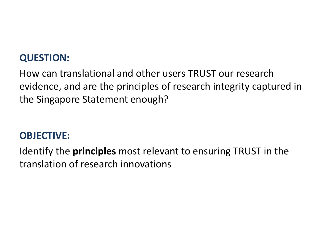### **QUESTION:**

How can translational and other users TRUST our research evidence, and are the principles of research integrity captured in the Singapore Statement enough?

### **OBJECTIVE:**

Identify the **principles** most relevant to ensuring TRUST in the translation of research innovations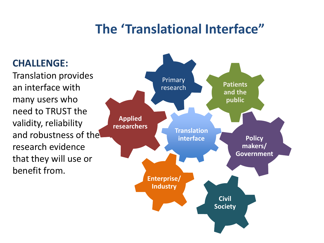### **The 'Translational Interface"**

#### **CHALLENGE:**

Translation provides an interface with many users who need to TRUST the validity, reliability and robustness of the research evidence that they will use or benefit from.

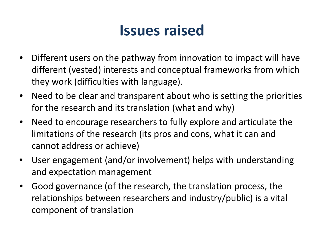# **Issues raised**

- $\bullet$  Different users on the pathway from innovation to impact will have different (vested) interests and conceptual frameworks from which they work (difficulties with language).
- Need to be clear and transparent about who is setting the priorities for the research and its translation (what and why)
- $\bullet$  Need to encourage researchers to fully explore and articulate the limitations of the research (its pros and cons, what it can and cannot address or achieve)
- User engagement (and/or involvement) helps with understanding and expectation management
- Good governance (of the research, the translation process, the relationships between researchers and industry/public) is <sup>a</sup> vital component of translation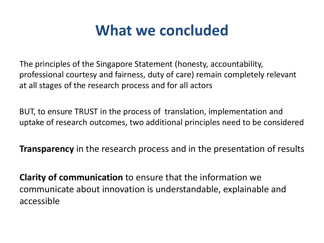## **What we concluded**

The principles of the Singapore Statement (honesty, accountability, professional courtesy and fairness, duty of care) remain completely relevant at all stages of the research process and for all actors

BUT, to ensure TRUST in the process of translation, implementation and uptake of research outcomes, two additional principles need to be considered

**Transparency** in the research process and in the presentation of results

**Clarity of communication** to ensure that the information we communicate about innovation is understandable, explainable and accessible